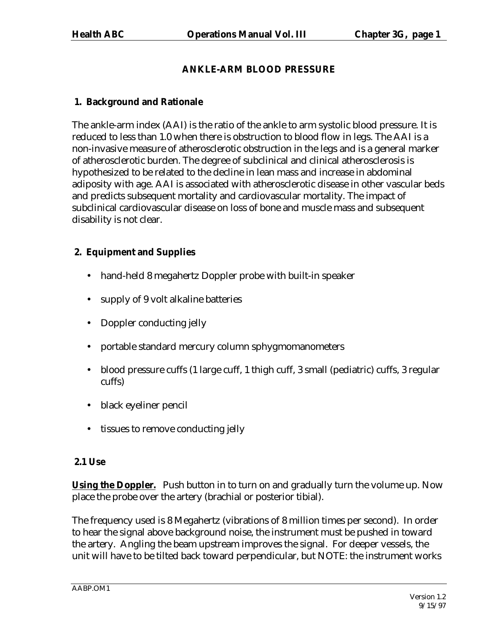# **ANKLE-ARM BLOOD PRESSURE**

# **1. Background and Rationale**

The ankle-arm index (AAI) is the ratio of the ankle to arm systolic blood pressure. It is reduced to less than 1.0 when there is obstruction to blood flow in legs. The AAI is a non-invasive measure of atherosclerotic obstruction in the legs and is a general marker of atherosclerotic burden. The degree of subclinical and clinical atherosclerosis is hypothesized to be related to the decline in lean mass and increase in abdominal adiposity with age. AAI is associated with atherosclerotic disease in other vascular beds and predicts subsequent mortality and cardiovascular mortality. The impact of subclinical cardiovascular disease on loss of bone and muscle mass and subsequent disability is not clear.

# **2. Equipment and Supplies**

- hand-held 8 megahertz Doppler probe with built-in speaker
- supply of 9 volt alkaline batteries
- Doppler conducting jelly
- portable standard mercury column sphygmomanometers
- blood pressure cuffs (1 large cuff, 1 thigh cuff, 3 small (pediatric) cuffs, 3 regular cuffs)
- black eyeliner pencil
- tissues to remove conducting jelly

# **2.1 Use**

**Using the Doppler.** Push button in to turn on and gradually turn the volume up. Now place the probe over the artery (brachial or posterior tibial).

The frequency used is 8 Megahertz (vibrations of 8 million times per second). In order to hear the signal above background noise, the instrument must be pushed in toward the artery. Angling the beam upstream improves the signal. For deeper vessels, the unit will have to be tilted back toward perpendicular, but NOTE: the instrument works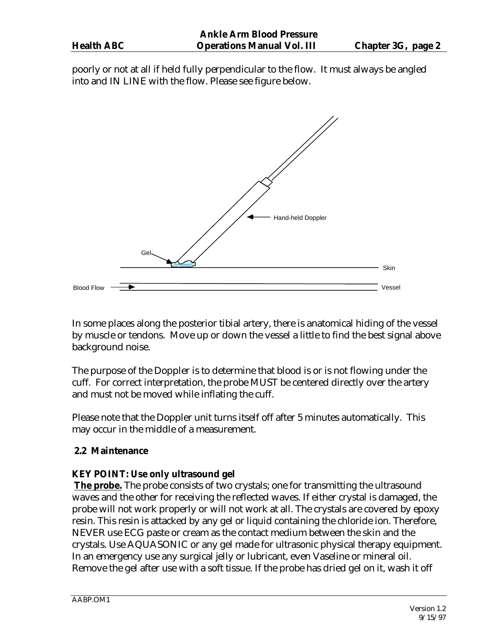poorly or not at all if held fully perpendicular to the flow. It must always be angled into and IN LINE with the flow. Please see figure below.



In some places along the posterior tibial artery, there is anatomical hiding of the vessel by muscle or tendons. Move up or down the vessel a little to find the best signal above background noise.

The purpose of the Doppler is to determine that blood is or is not flowing under the cuff. For correct interpretation, the probe MUST be centered directly over the artery and must not be moved while inflating the cuff.

Please note that the Doppler unit turns itself off after 5 minutes automatically. This may occur in the middle of a measurement.

# **2.2 Maintenance**

# **KEY POINT: Use only ultrasound gel**

**The probe.** The probe consists of two crystals; one for transmitting the ultrasound waves and the other for receiving the reflected waves. If either crystal is damaged, the probe will not work properly or will not work at all. The crystals are covered by epoxy resin. This resin is attacked by any gel or liquid containing the chloride ion. Therefore, NEVER use ECG paste or cream as the contact medium between the skin and the crystals. Use AQUASONIC or any gel made for ultrasonic physical therapy equipment. In an emergency use any surgical jelly or lubricant, even Vaseline or mineral oil. Remove the gel after use with a soft tissue. If the probe has dried gel on it, wash it off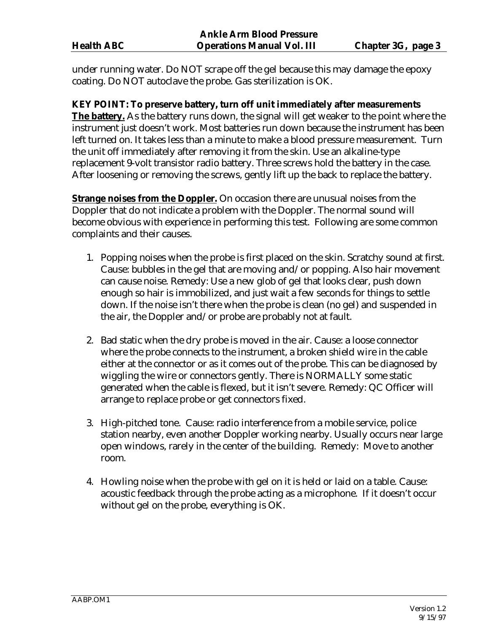under running water. Do NOT scrape off the gel because this may damage the epoxy coating. Do NOT autoclave the probe. Gas sterilization is OK.

**KEY POINT: To preserve battery, turn off unit immediately after measurements The battery.** As the battery runs down, the signal will get weaker to the point where the instrument just doesn't work. Most batteries run down because the instrument has been left turned on. It takes less than a minute to make a blood pressure measurement. Turn the unit off immediately after removing it from the skin. Use an alkaline-type replacement 9-volt transistor radio battery. Three screws hold the battery in the case. After loosening or removing the screws, gently lift up the back to replace the battery.

**Strange noises from the Doppler.** On occasion there are unusual noises from the Doppler that do not indicate a problem with the Doppler. The normal sound will become obvious with experience in performing this test. Following are some common complaints and their causes.

- 1. Popping noises when the probe is first placed on the skin. Scratchy sound at first. Cause: bubbles in the gel that are moving and/or popping. Also hair movement can cause noise. Remedy: Use a new glob of gel that looks clear, push down enough so hair is immobilized, and just wait a few seconds for things to settle down. If the noise isn't there when the probe is clean (no gel) and suspended in the air, the Doppler and/or probe are probably not at fault.
- 2. Bad static when the dry probe is moved in the air. Cause: a loose connector where the probe connects to the instrument, a broken shield wire in the cable either at the connector or as it comes out of the probe. This can be diagnosed by wiggling the wire or connectors gently. There is NORMALLY some static generated when the cable is flexed, but it isn't severe. Remedy: QC Officer will arrange to replace probe or get connectors fixed.
- 3. High-pitched tone. Cause: radio interference from a mobile service, police station nearby, even another Doppler working nearby. Usually occurs near large open windows, rarely in the center of the building. Remedy: Move to another room.
- 4. Howling noise when the probe with gel on it is held or laid on a table. Cause: acoustic feedback through the probe acting as a microphone. If it doesn't occur without gel on the probe, everything is OK.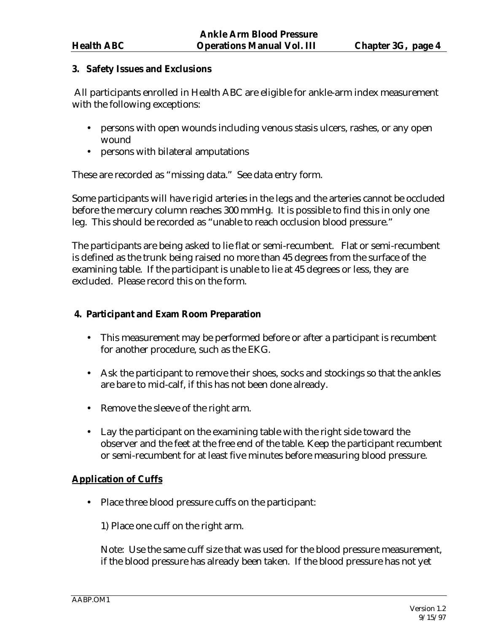# **3. Safety Issues and Exclusions**

 All participants enrolled in Health ABC are eligible for ankle-arm index measurement with the following exceptions:

- persons with open wounds including venous stasis ulcers, rashes, or any open wound
- persons with bilateral amputations

These are recorded as "missing data." See data entry form.

Some participants will have rigid arteries in the legs and the arteries cannot be occluded before the mercury column reaches 300 mmHg. It is possible to find this in only one leg. This should be recorded as "unable to reach occlusion blood pressure."

The participants are being asked to lie flat or semi-recumbent. Flat or semi-recumbent is defined as the trunk being raised no more than 45 degrees from the surface of the examining table. If the participant is unable to lie at 45 degrees or less, they are excluded. Please record this on the form.

# **4. Participant and Exam Room Preparation**

- This measurement may be performed before or after a participant is recumbent for another procedure, such as the EKG.
- Ask the participant to remove their shoes, socks and stockings so that the ankles are bare to mid-calf, if this has not been done already.
- Remove the sleeve of the right arm.
- Lay the participant on the examining table with the right side toward the observer and the feet at the free end of the table. Keep the participant recumbent or semi-recumbent for at least five minutes before measuring blood pressure.

# **Application of Cuffs**

• Place three blood pressure cuffs on the participant:

1) Place one cuff on the right arm.

Note: Use the same cuff size that was used for the blood pressure measurement, if the blood pressure has already been taken. If the blood pressure has not yet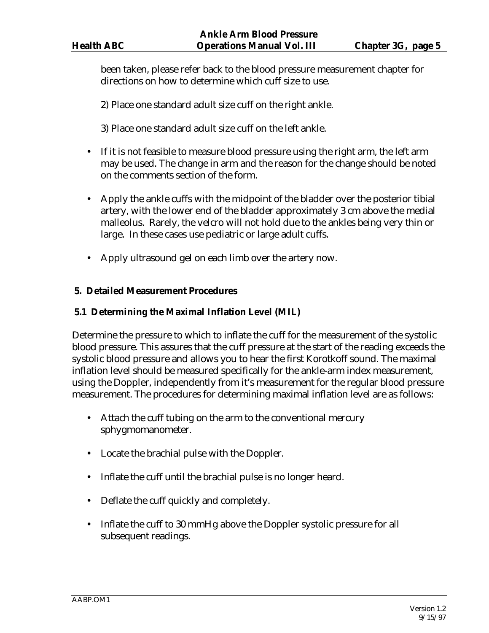been taken, please refer back to the blood pressure measurement chapter for directions on how to determine which cuff size to use.

2) Place one standard adult size cuff on the right ankle.

3) Place one standard adult size cuff on the left ankle.

- If it is not feasible to measure blood pressure using the right arm, the left arm may be used. The change in arm and the reason for the change should be noted on the comments section of the form.
- Apply the ankle cuffs with the midpoint of the bladder over the posterior tibial artery, with the lower end of the bladder approximately 3 cm above the medial malleolus. Rarely, the velcro will not hold due to the ankles being very thin or large. In these cases use pediatric or large adult cuffs.
- Apply ultrasound gel on each limb over the artery now.

# **5. Detailed Measurement Procedures**

# **5.1 Determining the Maximal Inflation Level (MIL)**

Determine the pressure to which to inflate the cuff for the measurement of the systolic blood pressure. This assures that the cuff pressure at the start of the reading exceeds the systolic blood pressure and allows you to hear the first Korotkoff sound. The maximal inflation level should be measured specifically for the ankle-arm index measurement, using the Doppler, independently from it's measurement for the regular blood pressure measurement. The procedures for determining maximal inflation level are as follows:

- Attach the cuff tubing on the arm to the conventional mercury sphygmomanometer.
- Locate the brachial pulse with the Doppler.
- Inflate the cuff until the brachial pulse is no longer heard.
- Deflate the cuff quickly and completely.
- Inflate the cuff to 30 mmHg above the Doppler systolic pressure for all subsequent readings.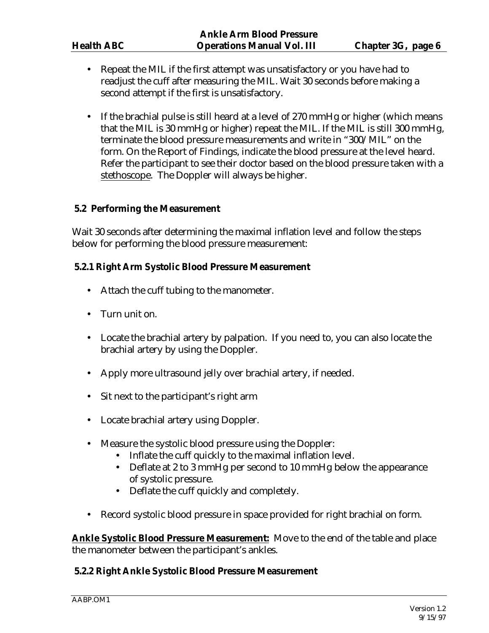- Repeat the MIL if the first attempt was unsatisfactory or you have had to readjust the cuff after measuring the MIL. Wait 30 seconds before making a second attempt if the first is unsatisfactory.
- If the brachial pulse is still heard at a level of 270 mmHg or higher (which means that the MIL is 30 mmHg or higher) repeat the MIL. If the MIL is still 300 mmHg, terminate the blood pressure measurements and write in "300/MIL" on the form. On the Report of Findings, indicate the blood pressure at the level heard. Refer the participant to see their doctor based on the blood pressure taken with a stethoscope. The Doppler will always be higher.

# **5.2 Performing the Measurement**

Wait 30 seconds after determining the maximal inflation level and follow the steps below for performing the blood pressure measurement:

#### **5.2.1 Right Arm Systolic Blood Pressure Measurement**

- Attach the cuff tubing to the manometer.
- Turn unit on.
- Locate the brachial artery by palpation. If you need to, you can also locate the brachial artery by using the Doppler.
- Apply more ultrasound jelly over brachial artery, if needed.
- Sit next to the participant's right arm
- Locate brachial artery using Doppler.
- Measure the systolic blood pressure using the Doppler:
	- Inflate the cuff quickly to the maximal inflation level.
	- Deflate at 2 to 3 mmHg per second to 10 mmHg below the appearance of systolic pressure.
	- Deflate the cuff quickly and completely.
- Record systolic blood pressure in space provided for right brachial on form.

**Ankle Systolic Blood Pressure Measurement:** Move to the end of the table and place the manometer between the participant's ankles.

# **5.2.2 Right Ankle Systolic Blood Pressure Measurement**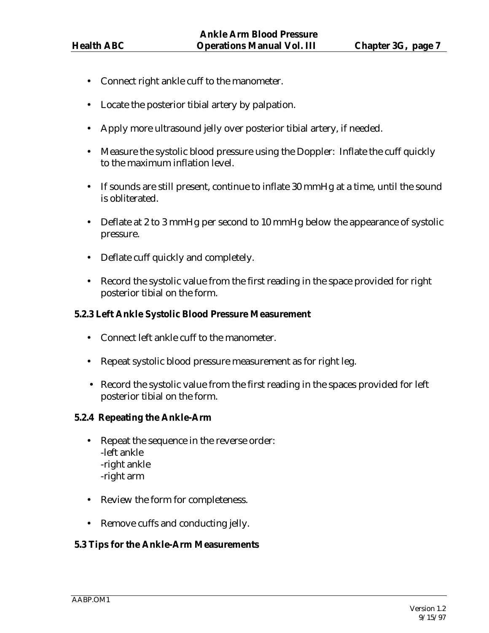- Connect right ankle cuff to the manometer.
- Locate the posterior tibial artery by palpation.
- Apply more ultrasound jelly over posterior tibial artery, if needed.
- Measure the systolic blood pressure using the Doppler: Inflate the cuff quickly to the maximum inflation level.
- If sounds are still present, continue to inflate 30 mmHg at a time, until the sound is obliterated.
- Deflate at 2 to 3 mmHg per second to 10 mmHg below the appearance of systolic pressure.
- Deflate cuff quickly and completely.
- Record the systolic value from the first reading in the space provided for right posterior tibial on the form.

#### **5.2.3 Left Ankle Systolic Blood Pressure Measurement**

- Connect left ankle cuff to the manometer.
- Repeat systolic blood pressure measurement as for right leg.
- Record the systolic value from the first reading in the spaces provided for left posterior tibial on the form.

#### **5.2.4 Repeating the Ankle-Arm**

- Repeat the sequence in the reverse order: -left ankle -right ankle -right arm
- Review the form for completeness.
- Remove cuffs and conducting jelly.

# **5.3 Tips for the Ankle-Arm Measurements**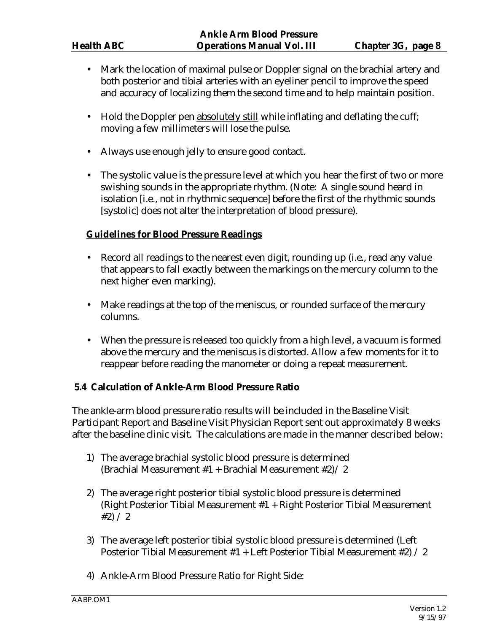- Mark the location of maximal pulse or Doppler signal on the brachial artery and both posterior and tibial arteries with an eyeliner pencil to improve the speed and accuracy of localizing them the second time and to help maintain position.
- Hold the Doppler pen absolutely still while inflating and deflating the cuff; moving a few millimeters will lose the pulse.
- Always use enough jelly to ensure good contact.
- The systolic value is the pressure level at which you hear the first of two or more swishing sounds in the appropriate rhythm. (Note: A single sound heard in isolation [i.e., not in rhythmic sequence] before the first of the rhythmic sounds [systolic] does not alter the interpretation of blood pressure).

# **Guidelines for Blood Pressure Readings**

- Record all readings to the nearest even digit, rounding up (i.e., read any value that appears to fall exactly between the markings on the mercury column to the next higher even marking).
- Make readings at the top of the meniscus, or rounded surface of the mercury columns.
- When the pressure is released too quickly from a high level, a vacuum is formed above the mercury and the meniscus is distorted. Allow a few moments for it to reappear before reading the manometer or doing a repeat measurement.

# **5.4 Calculation of Ankle-Arm Blood Pressure Ratio**

The ankle-arm blood pressure ratio results will be included in the Baseline Visit Participant Report and Baseline Visit Physician Report sent out approximately 8 weeks after the baseline clinic visit. The calculations are made in the manner described below:

- 1) The average brachial systolic blood pressure is determined (Brachial Measurement  $#1$  + Brachial Measurement  $#2$ ) / 2
- 2) The average right posterior tibial systolic blood pressure is determined (Right Posterior Tibial Measurement #1 + Right Posterior Tibial Measurement  $#2) / 2$
- 3) The average left posterior tibial systolic blood pressure is determined (Left Posterior Tibial Measurement #1 + Left Posterior Tibial Measurement #2) / 2
- 4) Ankle-Arm Blood Pressure Ratio for Right Side: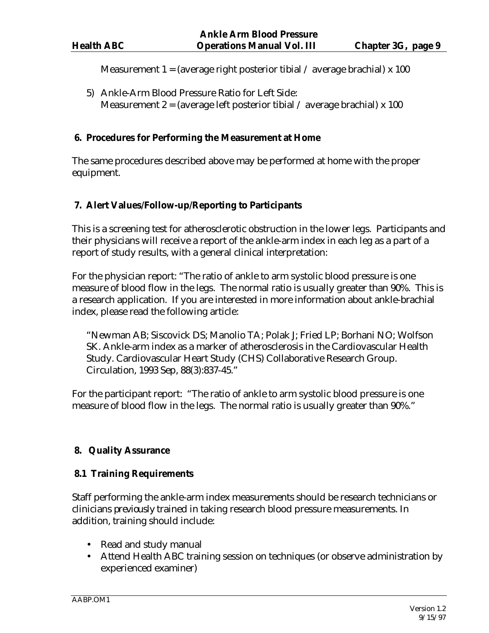Measurement 1 = (average right posterior tibial / average brachial) x 100

5) Ankle-Arm Blood Pressure Ratio for Left Side: Measurement 2 = (average left posterior tibial / average brachial) x 100

# **6. Procedures for Performing the Measurement at Home**

The same procedures described above may be performed at home with the proper equipment.

# **7. Alert Values/Follow-up/Reporting to Participants**

This is a screening test for atherosclerotic obstruction in the lower legs. Participants and their physicians will receive a report of the ankle-arm index in each leg as a part of a report of study results, with a general clinical interpretation:

For the physician report: "The ratio of ankle to arm systolic blood pressure is one measure of blood flow in the legs. The normal ratio is usually greater than 90%. This is a research application. If you are interested in more information about ankle-brachial index, please read the following article:

"Newman AB; Siscovick DS; Manolio TA; Polak J; Fried LP; Borhani NO; Wolfson SK. Ankle-arm index as a marker of atherosclerosis in the Cardiovascular Health Study. Cardiovascular Heart Study (CHS) Collaborative Research Group. Circulation, 1993 Sep, 88(3):837-45."

For the participant report: "The ratio of ankle to arm systolic blood pressure is one measure of blood flow in the legs. The normal ratio is usually greater than 90%."

# **8. Quality Assurance**

# **8.1 Training Requirements**

Staff performing the ankle-arm index measurements should be research technicians or clinicians *previously* trained in taking research blood pressure measurements. In addition, training should include:

- Read and study manual
- Attend Health ABC training session on techniques (or observe administration by experienced examiner)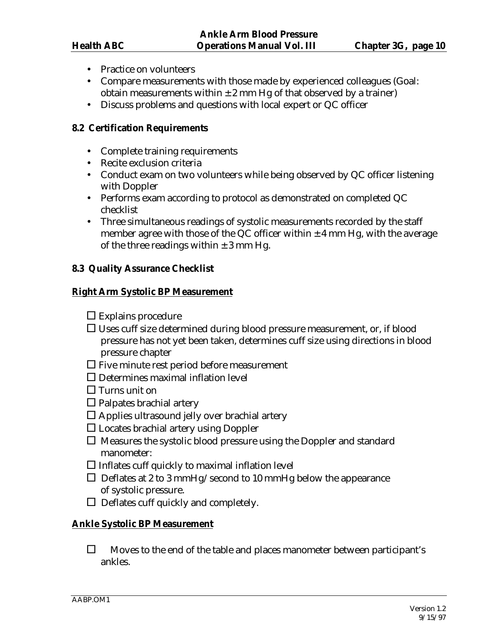- Practice on volunteers
- Compare measurements with those made by experienced colleagues (Goal: obtain measurements within  $\pm 2$  mm Hg of that observed by a trainer)
- Discuss problems and questions with local expert or QC officer

#### **8.2 Certification Requirements**

- Complete training requirements
- Recite exclusion criteria
- Conduct exam on two volunteers while being observed by QC officer listening with Doppler
- Performs exam according to protocol as demonstrated on completed QC checklist
- Three simultaneous readings of systolic measurements recorded by the staff member agree with those of the QC officer within  $\pm$  4 mm Hg, with the average of the three readings within  $\pm$  3 mm Hg.

#### **8.3 Quality Assurance Checklist**

#### **Right Arm Systolic BP Measurement**

- $\square$  Explains procedure
- Uses cuff size determined during blood pressure measurement, or, if blood pressure has not yet been taken, determines cuff size using directions in blood pressure chapter
- $\square$  Five minute rest period before measurement
- $\square$  Determines maximal inflation level
- $\Box$  Turns unit on
- $\Box$  Palpates brachial artery
- $\square$  Applies ultrasound jelly over brachial artery
- $\square$  Locates brachial artery using Doppler
- $\Box$  Measures the systolic blood pressure using the Doppler and standard manometer:
- $\square$  Inflates cuff quickly to maximal inflation level
- $\Box$  Deflates at 2 to 3 mmHg/second to 10 mmHg below the appearance of systolic pressure.
- $\Box$  Deflates cuff quickly and completely.

# **Ankle Systolic BP Measurement**

 $\Box$  Moves to the end of the table and places manometer between participant's ankles.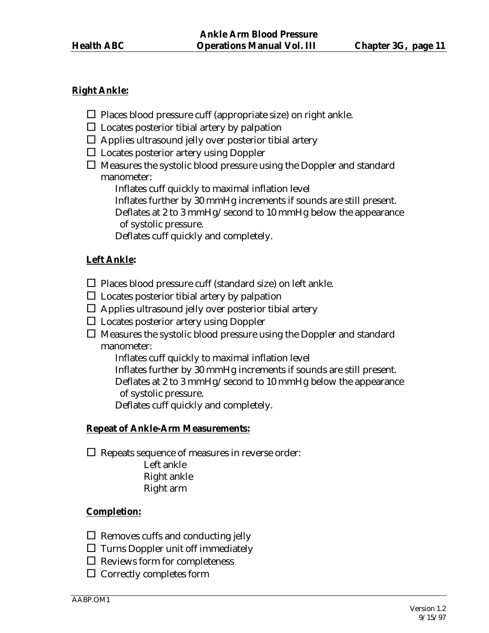# **Right Ankle:**

- $\Box$  Places blood pressure cuff (appropriate size) on right ankle.
- $\square$  Locates posterior tibial artery by palpation
- $\Box$  Applies ultrasound jelly over posterior tibial artery
- $\square$  Locates posterior artery using Doppler
- $\Box$  Measures the systolic blood pressure using the Doppler and standard manometer:
	- Inflates cuff quickly to maximal inflation level
	- Inflates further by 30 mmHg increments if sounds are still present.
	- Deflates at 2 to 3 mmHg/second to 10 mmHg below the appearance of systolic pressure.

Deflates cuff quickly and completely.

# **Left Ankle:**

- $\Box$  Places blood pressure cuff (standard size) on left ankle.
- $\square$  Locates posterior tibial artery by palpation
- $\Box$  Applies ultrasound jelly over posterior tibial artery
- $\Box$  Locates posterior artery using Doppler
- $\Box$  Measures the systolic blood pressure using the Doppler and standard manometer:

Inflates cuff quickly to maximal inflation level

Inflates further by 30 mmHg increments if sounds are still present.

 Deflates at 2 to 3 mmHg/second to 10 mmHg below the appearance of systolic pressure.

Deflates cuff quickly and completely.

# **Repeat of Ankle-Arm Measurements:**

 $\square$  Repeats sequence of measures in reverse order: Left ankle Right ankle Right arm

# **Completion:**

- $\Box$  Removes cuffs and conducting jelly
- $\square$  Turns Doppler unit off immediately
- $\square$  Reviews form for completeness
- $\Box$  Correctly completes form